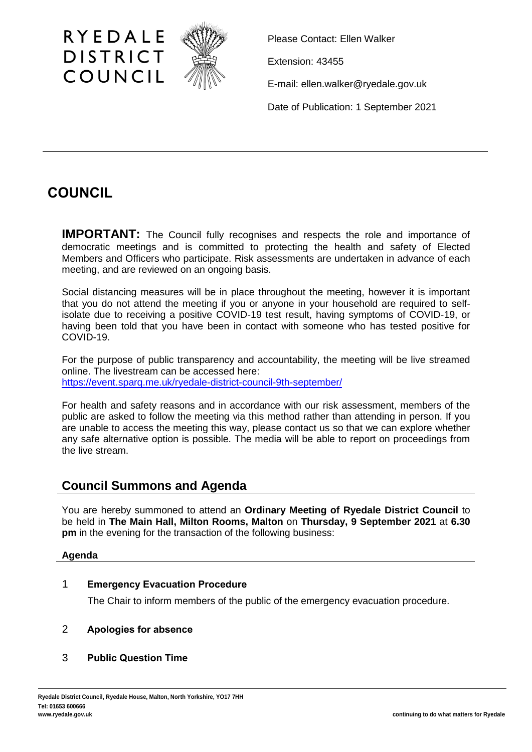

Please Contact: Ellen Walker

Extension: 43455

E-mail: ellen.walker@ryedale.gov.uk

Date of Publication: 1 September 2021

# **COUNCIL**

**IMPORTANT:** The Council fully recognises and respects the role and importance of democratic meetings and is committed to protecting the health and safety of Elected Members and Officers who participate. Risk assessments are undertaken in advance of each meeting, and are reviewed on an ongoing basis.

Social distancing measures will be in place throughout the meeting, however it is important that you do not attend the meeting if you or anyone in your household are required to selfisolate due to receiving a positive COVID-19 test result, having symptoms of COVID-19, or having been told that you have been in contact with someone who has tested positive for COVID-19.

For the purpose of public transparency and accountability, the meeting will be live streamed online. The livestream can be accessed here: <https://event.sparq.me.uk/ryedale-district-council-9th-september/>

For health and safety reasons and in accordance with our risk assessment, members of the public are asked to follow the meeting via this method rather than attending in person. If you are unable to access the meeting this way, please contact us so that we can explore whether any safe alternative option is possible. The media will be able to report on proceedings from the live stream.

# **Council Summons and Agenda**

You are hereby summoned to attend an **Ordinary Meeting of Ryedale District Council** to be held in **The Main Hall, Milton Rooms, Malton** on **Thursday, 9 September 2021** at **6.30 pm** in the evening for the transaction of the following business:

# **Agenda**

# 1 **Emergency Evacuation Procedure**

The Chair to inform members of the public of the emergency evacuation procedure.

# 2 **Apologies for absence**

3 **Public Question Time**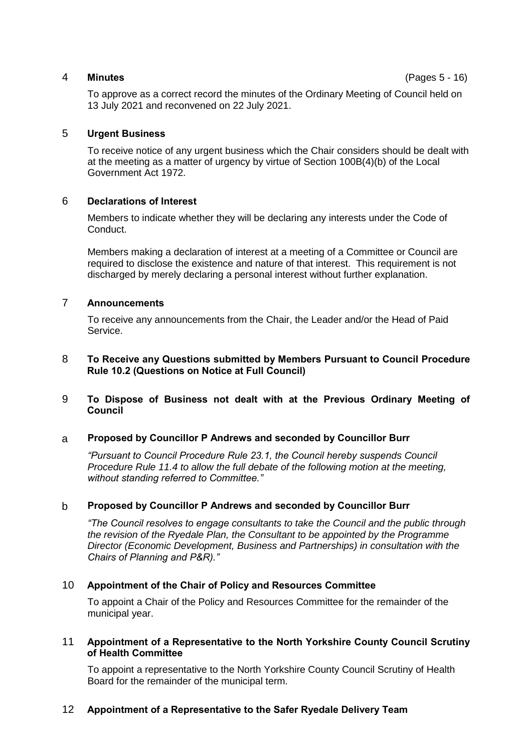#### 4 **Minutes** (Pages 5 - 16)

To approve as a correct record the minutes of the Ordinary Meeting of Council held on 13 July 2021 and reconvened on 22 July 2021.

#### 5 **Urgent Business**

To receive notice of any urgent business which the Chair considers should be dealt with at the meeting as a matter of urgency by virtue of Section 100B(4)(b) of the Local Government Act 1972.

#### 6 **Declarations of Interest**

Members to indicate whether they will be declaring any interests under the Code of Conduct.

Members making a declaration of interest at a meeting of a Committee or Council are required to disclose the existence and nature of that interest. This requirement is not discharged by merely declaring a personal interest without further explanation.

#### 7 **Announcements**

To receive any announcements from the Chair, the Leader and/or the Head of Paid Service.

#### 8 **To Receive any Questions submitted by Members Pursuant to Council Procedure Rule 10.2 (Questions on Notice at Full Council)**

#### 9 **To Dispose of Business not dealt with at the Previous Ordinary Meeting of Council**

#### a **Proposed by Councillor P Andrews and seconded by Councillor Burr**

*"Pursuant to Council Procedure Rule 23.1, the Council hereby suspends Council Procedure Rule 11.4 to allow the full debate of the following motion at the meeting, without standing referred to Committee."*

#### b **Proposed by Councillor P Andrews and seconded by Councillor Burr**

*"The Council resolves to engage consultants to take the Council and the public through the revision of the Ryedale Plan, the Consultant to be appointed by the Programme Director (Economic Development, Business and Partnerships) in consultation with the Chairs of Planning and P&R)."*

#### 10 **Appointment of the Chair of Policy and Resources Committee**

To appoint a Chair of the Policy and Resources Committee for the remainder of the municipal year.

#### 11 **Appointment of a Representative to the North Yorkshire County Council Scrutiny of Health Committee**

To appoint a representative to the North Yorkshire County Council Scrutiny of Health Board for the remainder of the municipal term.

#### 12 **Appointment of a Representative to the Safer Ryedale Delivery Team**